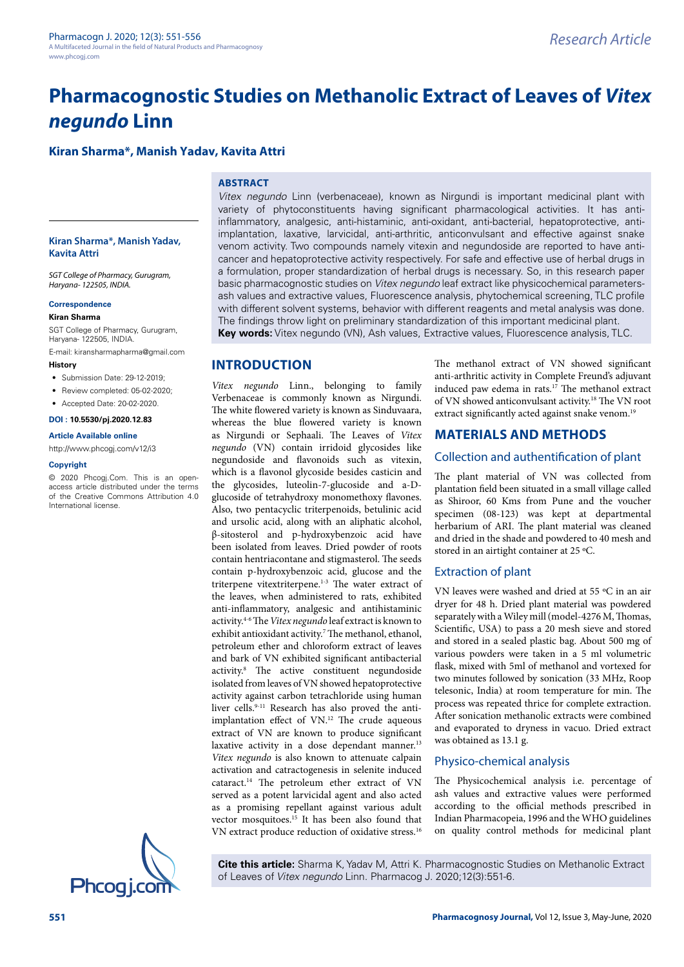# **Pharmacognostic Studies on Methanolic Extract of Leaves of** *Vitex negundo* **Linn**

## **Kiran Sharma\*, Manish Yadav, Kavita Attri**

#### **ABSTRACT**

#### **Kiran Sharma\*, Manish Yadav, Kavita Attri**

*SGT College of Pharmacy, Gurugram, Haryana- 122505, INDIA.*

#### **Correspondence**

## **Kiran Sharma**

SGT College of Pharmacy, Gurugram, Haryana- 122505, INDIA.

E-mail: [kiransharmapharma@gmail.com](mailto:kiransharmapharma@gmail.com)

- **History**
- Submission Date: 29-12-2019;
- Review completed: 05-02-2020;
- Accepted Date: 20-02-2020.

#### **DOI : 10.5530/pj.2020.12.83**

#### **Article Available online**

<http://www.phcogj.com/v12/i3>

#### **Copyright**

© 2020 Phcogj.Com. This is an openaccess article distributed under the terms of the Creative Commons Attribution 4.0 International license.

*Vitex negundo* Linn (verbenaceae), known as Nirgundi is important medicinal plant with variety of phytoconstituents having significant pharmacological activities. It has antiinflammatory, analgesic, anti-histaminic, anti-oxidant, anti-bacterial, hepatoprotective, antiimplantation, laxative, larvicidal, anti-arthritic, anticonvulsant and effective against snake venom activity. Two compounds namely vitexin and negundoside are reported to have anticancer and hepatoprotective activity respectively. For safe and effective use of herbal drugs in a formulation, proper standardization of herbal drugs is necessary. So, in this research paper basic pharmacognostic studies on *Vitex negundo* leaf extract like physicochemical parametersash values and extractive values, Fluorescence analysis, phytochemical screening, TLC profile with different solvent systems, behavior with different reagents and metal analysis was done. The findings throw light on preliminary standardization of this important medicinal plant. **Key words:** Vitex negundo (VN), Ash values, Extractive values, Fluorescence analysis, TLC.

## **INTRODUCTION**

*Vitex negundo* Linn., belonging to family Verbenaceae is commonly known as Nirgundi. The white flowered variety is known as Sinduvaara, whereas the blue flowered variety is known as Nirgundi or Sephaali. The Leaves of *Vitex negundo* (VN) contain irridoid glycosides like negundoside and flavonoids such as vitexin, which is a flavonol glycoside besides casticin and the glycosides, luteolin-7-glucoside and a-Dglucoside of tetrahydroxy monomethoxy flavones. Also, two pentacyclic triterpenoids, betulinic acid and ursolic acid, along with an aliphatic alcohol, β-sitosterol and p-hydroxybenzoic acid have been isolated from leaves. Dried powder of roots contain hentriacontane and stigmasterol. The seeds contain p-hydroxybenzoic acid, glucose and the triterpene vitextriterpene.1-3 The water extract of the leaves, when administered to rats, exhibited anti-inflammatory, analgesic and antihistaminic activity.4-6 The *Vitex negundo* leaf extract is known to exhibit antioxidant activity.<sup>7</sup> The methanol, ethanol, petroleum ether and chloroform extract of leaves and bark of VN exhibited significant antibacterial activity.8 The active constituent negundoside isolated from leaves of VN showed hepatoprotective activity against carbon tetrachloride using human liver cells.<sup>9-11</sup> Research has also proved the antiimplantation effect of VN.12 The crude aqueous extract of VN are known to produce significant laxative activity in a dose dependant manner.<sup>13</sup> *Vitex negundo* is also known to attenuate calpain activation and catractogenesis in selenite induced cataract.14 The petroleum ether extract of VN served as a potent larvicidal agent and also acted as a promising repellant against various adult vector mosquitoes.15 It has been also found that VN extract produce reduction of oxidative stress.<sup>16</sup>

The methanol extract of VN showed significant anti-arthritic activity in Complete Freund's adjuvant induced paw edema in rats.<sup>17</sup> The methanol extract of VN showed anticonvulsant activity.18 The VN root extract significantly acted against snake venom.<sup>19</sup>

## **MATERIALS AND METHODS**

## Collection and authentification of plant

The plant material of VN was collected from plantation field been situated in a small village called as Shiroor, 60 Kms from Pune and the voucher specimen (08-123) was kept at departmental herbarium of ARI. The plant material was cleaned and dried in the shade and powdered to 40 mesh and stored in an airtight container at 25 ºC.

## Extraction of plant

VN leaves were washed and dried at 55 ºC in an air dryer for 48 h. Dried plant material was powdered separately with a Wiley mill (model-4276 M, Thomas, Scientific, USA) to pass a 20 mesh sieve and stored and stored in a sealed plastic bag. About 500 mg of various powders were taken in a 5 ml volumetric flask, mixed with 5ml of methanol and vortexed for two minutes followed by sonication (33 MHz, Roop telesonic, India) at room temperature for min. The process was repeated thrice for complete extraction. After sonication methanolic extracts were combined and evaporated to dryness in vacuo. Dried extract was obtained as 13.1 g.

### Physico-chemical analysis

The Physicochemical analysis i.e. percentage of ash values and extractive values were performed according to the official methods prescribed in Indian Pharmacopeia, 1996 and the WHO guidelines on quality control methods for medicinal plant



**Cite this article:** Sharma K, Yadav M, Attri K. Pharmacognostic Studies on Methanolic Extract of Leaves of Vitex negundo Linn. Pharmacog J. 2020;12(3):551-6.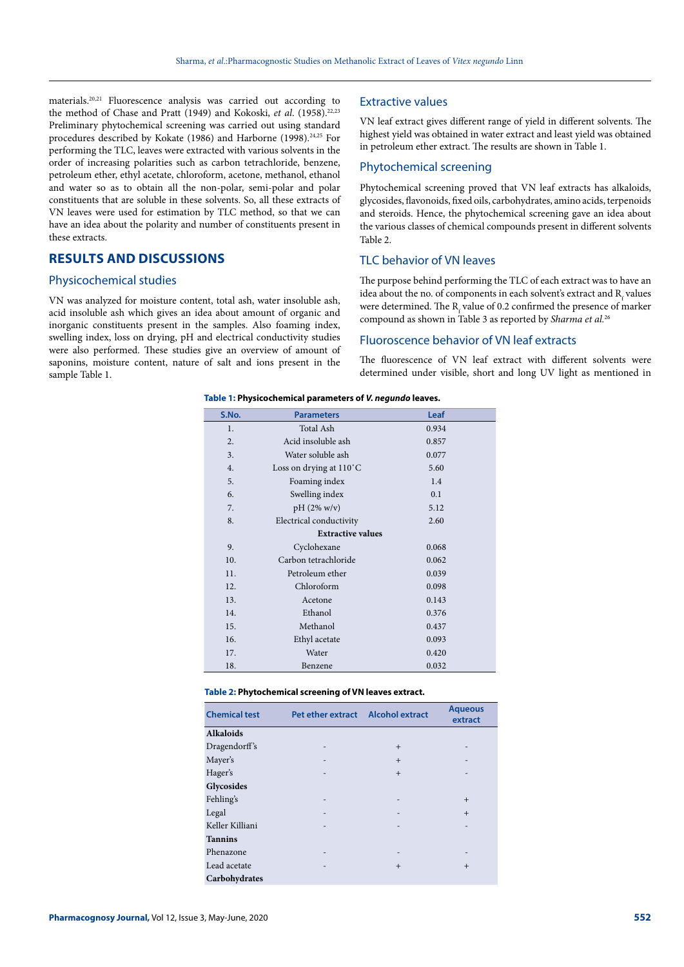materials.20,21 Fluorescence analysis was carried out according to the method of Chase and Pratt (1949) and Kokoski, *et al.* (1958).<sup>22,23</sup> Preliminary phytochemical screening was carried out using standard procedures described by Kokate (1986) and Harborne (1998).<sup>24,25</sup> For performing the TLC, leaves were extracted with various solvents in the order of increasing polarities such as carbon tetrachloride, benzene, petroleum ether, ethyl acetate, chloroform, acetone, methanol, ethanol and water so as to obtain all the non-polar, semi-polar and polar constituents that are soluble in these solvents. So, all these extracts of VN leaves were used for estimation by TLC method, so that we can have an idea about the polarity and number of constituents present in these extracts.

## **RESULTS AND DISCUSSIONS**

#### Physicochemical studies

VN was analyzed for moisture content, total ash, water insoluble ash, acid insoluble ash which gives an idea about amount of organic and inorganic constituents present in the samples. Also foaming index, swelling index, loss on drying, pH and electrical conductivity studies were also performed. These studies give an overview of amount of saponins, moisture content, nature of salt and ions present in the sample Table 1.

#### Extractive values

VN leaf extract gives different range of yield in different solvents. The highest yield was obtained in water extract and least yield was obtained in petroleum ether extract. The results are shown in Table 1.

#### Phytochemical screening

Phytochemical screening proved that VN leaf extracts has alkaloids, glycosides, flavonoids, fixed oils, carbohydrates, amino acids, terpenoids and steroids. Hence, the phytochemical screening gave an idea about the various classes of chemical compounds present in different solvents Table 2.

## TLC behavior of VN leaves

The purpose behind performing the TLC of each extract was to have an idea about the no. of components in each solvent's extract and  $\mathrm{R}_{_{\mathrm{f}}}$  values were determined. The  $\mathrm{R}_{\mathrm{f}}$  value of 0.2 confirmed the presence of marker compound as shown in Table 3 as reported by *Sharma et al.*<sup>26</sup>

## Fluoroscence behavior of VN leaf extracts

The fluorescence of VN leaf extract with different solvents were determined under visible, short and long UV light as mentioned in

#### **Table 1: Physicochemical parameters of** *V. negundo* **leaves.**

| S.No. | <b>Parameters</b>        | Leaf  |
|-------|--------------------------|-------|
| 1.    | Total Ash                | 0.934 |
| 2.    | Acid insoluble ash       | 0.857 |
| 3.    | Water soluble ash        | 0.077 |
| 4.    | Loss on drying at 110°C  | 5.60  |
| 5.    | Foaming index            | 1.4   |
| 6.    | Swelling index           | 0.1   |
| 7.    | $pH (2\% w/v)$           | 5.12  |
| 8.    | Electrical conductivity  | 2.60  |
|       | <b>Extractive values</b> |       |
| 9.    | Cyclohexane              | 0.068 |
| 10.   | Carbon tetrachloride     | 0.062 |
| 11.   | Petroleum ether          | 0.039 |
| 12.   | Chloroform               | 0.098 |
| 13.   | Acetone                  | 0.143 |
| 14.   | Ethanol                  | 0.376 |
| 15.   | Methanol                 | 0.437 |
| 16.   | Ethyl acetate            | 0.093 |
| 17.   | Water                    | 0.420 |
| 18.   | Benzene                  | 0.032 |

| Table 2: Phytochemical screening of VN leaves extract. |  |  |
|--------------------------------------------------------|--|--|
|--------------------------------------------------------|--|--|

| <b>Chemical test</b> | Pet ether extract        | <b>Alcohol extract</b> | <b>Aqueous</b><br>extract |
|----------------------|--------------------------|------------------------|---------------------------|
| <b>Alkaloids</b>     |                          |                        |                           |
| Dragendorff's        |                          | $+$                    | -                         |
| Mayer's              | -                        | $+$                    | -                         |
| Hager's              |                          | $+$                    | -                         |
| Glycosides           |                          |                        |                           |
| Fehling's            | $\overline{\phantom{0}}$ |                        | $+$                       |
| Legal                |                          |                        | $+$                       |
| Keller Killiani      |                          |                        | -                         |
| <b>Tannins</b>       |                          |                        |                           |
| Phenazone            | -                        |                        | -                         |
| Lead acetate         |                          | $+$                    | $+$                       |
| Carbohydrates        |                          |                        |                           |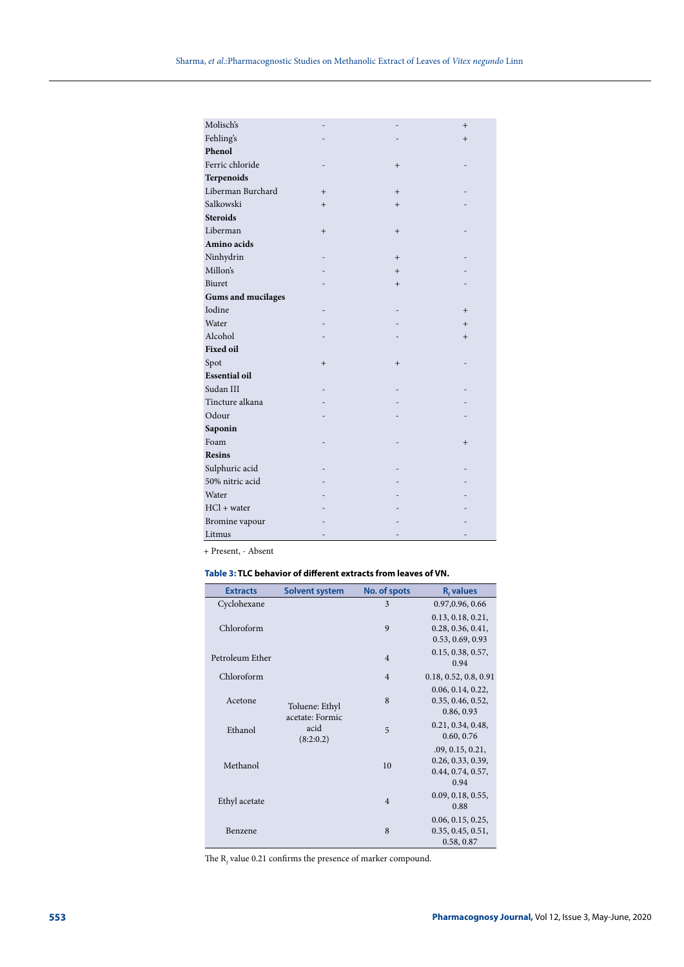| Molisch's                 |     |                 | $^{+}$    |
|---------------------------|-----|-----------------|-----------|
| Fehling's                 |     |                 | $+$       |
| Phenol                    |     |                 |           |
| Ferric chloride           |     | $+$             |           |
| Terpenoids                |     |                 |           |
| Liberman Burchard         | $+$ | $+$             |           |
| Salkowski                 | $+$ | $+$             |           |
| <b>Steroids</b>           |     |                 |           |
| Liberman                  | $+$ | $+$             |           |
| Amino acids               |     |                 |           |
| Ninhydrin                 |     | $\! + \!\!\!\!$ |           |
| Millon's                  |     | $+$             |           |
| Biuret                    |     | $+$             |           |
| <b>Gums and mucilages</b> |     |                 |           |
| Iodine                    |     |                 | $+$       |
| Water                     |     |                 | $+$       |
| Alcohol                   |     |                 | $\ddot{}$ |
| <b>Fixed oil</b>          |     |                 |           |
| Spot                      | $+$ | $+$             |           |
| <b>Essential oil</b>      |     |                 |           |
| Sudan III                 |     |                 |           |
| Tincture alkana           |     |                 |           |
| Odour                     |     |                 |           |
| Saponin                   |     |                 |           |
| Foam                      |     |                 | $^{+}$    |
| <b>Resins</b>             |     |                 |           |
| Sulphuric acid            |     |                 |           |
| 50% nitric acid           |     |                 |           |
| Water                     |     |                 |           |
| $HCl + water$             |     |                 |           |
| Bromine vapour            |     |                 |           |
| Litmus                    |     |                 |           |

+ Present, - Absent

## **Table 3: TLC behavior of different extracts from leaves of VN.**

| <b>Extracts</b> | <b>Solvent system</b>                                  | No. of spots   | <b>R</b> , values                                                  |
|-----------------|--------------------------------------------------------|----------------|--------------------------------------------------------------------|
| Cyclohexane     |                                                        | 3              | 0.97,0.96, 0.66                                                    |
| Chloroform      |                                                        | 9              | 0.13, 0.18, 0.21,<br>0.28, 0.36, 0.41,<br>0.53, 0.69, 0.93         |
| Petroleum Ether |                                                        | $\overline{4}$ | 0.15, 0.38, 0.57,<br>0.94                                          |
| Chloroform      |                                                        | $\overline{4}$ | 0.18, 0.52, 0.8, 0.91                                              |
| Acetone         | Toluene: Ethyl<br>acetate: Formic<br>acid<br>(8:2:0.2) | 8              | 0.06, 0.14, 0.22,<br>0.35, 0.46, 0.52,<br>0.86, 0.93               |
| Ethanol         |                                                        | 5              | 0.21, 0.34, 0.48,<br>0.60, 0.76                                    |
| Methanol        |                                                        | 10             | .09, 0.15, 0.21,<br>0.26, 0.33, 0.39,<br>0.44, 0.74, 0.57,<br>0.94 |
| Ethyl acetate   |                                                        | $\overline{4}$ | 0.09, 0.18, 0.55,<br>0.88                                          |
| Benzene         |                                                        | 8              | 0.06, 0.15, 0.25,<br>0.35, 0.45, 0.51,<br>0.58, 0.87               |

The  $R_f$  value 0.21 confirms the presence of marker compound.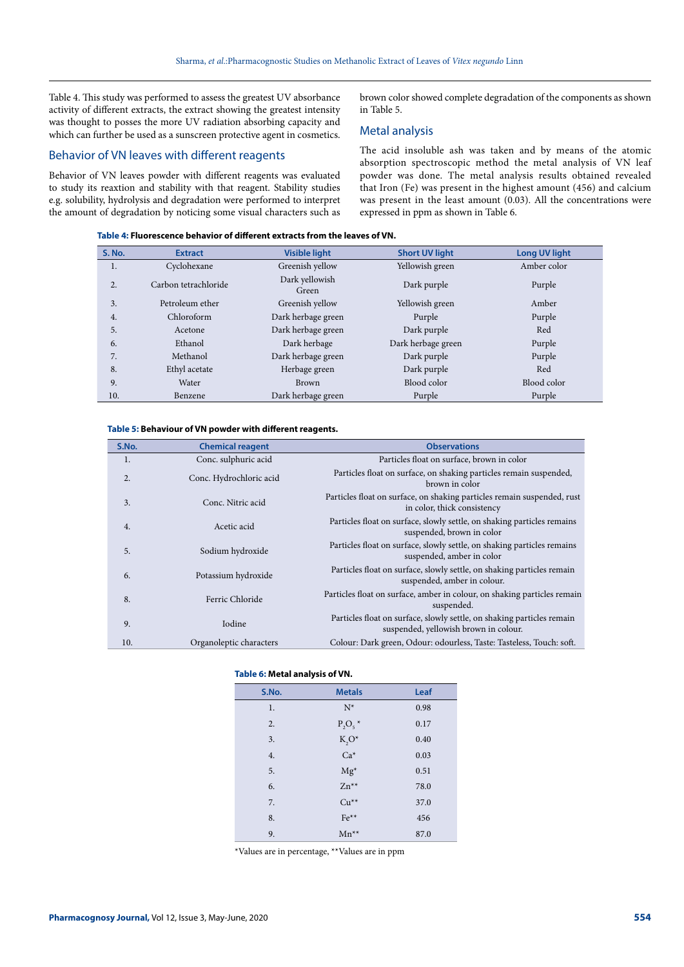Table 4. This study was performed to assess the greatest UV absorbance activity of different extracts, the extract showing the greatest intensity was thought to posses the more UV radiation absorbing capacity and which can further be used as a sunscreen protective agent in cosmetics.

#### Behavior of VN leaves with different reagents

Behavior of VN leaves powder with different reagents was evaluated to study its reaxtion and stability with that reagent. Stability studies e.g. solubility, hydrolysis and degradation were performed to interpret the amount of degradation by noticing some visual characters such as brown color showed complete degradation of the components as shown in Table 5.

#### Metal analysis

The acid insoluble ash was taken and by means of the atomic absorption spectroscopic method the metal analysis of VN leaf powder was done. The metal analysis results obtained revealed that Iron (Fe) was present in the highest amount (456) and calcium was present in the least amount (0.03). All the concentrations were expressed in ppm as shown in Table 6.

**Table 4: Fluorescence behavior of different extracts from the leaves of VN.**

| <b>S. No.</b> | <b>Extract</b>       | <b>Visible light</b>    | <b>Short UV light</b> | <b>Long UV light</b> |
|---------------|----------------------|-------------------------|-----------------------|----------------------|
| 1.            | Cyclohexane          | Greenish yellow         | Yellowish green       | Amber color          |
| 2.            | Carbon tetrachloride | Dark yellowish<br>Green | Dark purple           | Purple               |
| 3.            | Petroleum ether      | Greenish yellow         | Yellowish green       | Amber                |
| 4.            | Chloroform           | Dark herbage green      | Purple                | Purple               |
| 5.            | Acetone              | Dark herbage green      | Dark purple           | Red                  |
| 6.            | Ethanol              | Dark herbage            | Dark herbage green    | Purple               |
| 7.            | Methanol             | Dark herbage green      | Dark purple           | Purple               |
| 8.            | Ethyl acetate        | Herbage green           | Dark purple           | Red                  |
| 9.            | Water                | <b>Brown</b>            | Blood color           | Blood color          |
| 10.           | Benzene              | Dark herbage green      | Purple                | Purple               |
|               |                      |                         |                       |                      |

#### **Table 5: Behaviour of VN powder with different reagents.**

| S.No.            | <b>Chemical reagent</b> | <b>Observations</b>                                                                                             |
|------------------|-------------------------|-----------------------------------------------------------------------------------------------------------------|
| 1.               | Conc. sulphuric acid    | Particles float on surface, brown in color                                                                      |
| $\overline{2}$ . | Conc. Hydrochloric acid | Particles float on surface, on shaking particles remain suspended,<br>brown in color                            |
| 3.               | Conc. Nitric acid       | Particles float on surface, on shaking particles remain suspended, rust<br>in color, thick consistency          |
| 4.               | Acetic acid             | Particles float on surface, slowly settle, on shaking particles remains<br>suspended, brown in color            |
| 5.               | Sodium hydroxide        | Particles float on surface, slowly settle, on shaking particles remains<br>suspended, amber in color            |
| 6.               | Potassium hydroxide     | Particles float on surface, slowly settle, on shaking particles remain<br>suspended, amber in colour.           |
| 8.               | Ferric Chloride         | Particles float on surface, amber in colour, on shaking particles remain<br>suspended.                          |
| 9.               | Iodine                  | Particles float on surface, slowly settle, on shaking particles remain<br>suspended, yellowish brown in colour. |
| 10.              | Organoleptic characters | Colour: Dark green, Odour: odourless, Taste: Tasteless, Touch: soft.                                            |

#### **Table 6: Metal analysis of VN.**

| S.No. | <b>Metals</b> | Leaf |
|-------|---------------|------|
| 1.    | $N^*$         | 0.98 |
| 2.    | $P_2O_5$ *    | 0.17 |
| 3.    | $K_2O^*$      | 0.40 |
| 4.    | $Ca*$         | 0.03 |
| 5.    | $Mg^*$        | 0.51 |
| 6.    | $Zn^{**}$     | 78.0 |
| 7.    | $Cu**$        | 37.0 |
| 8.    | $Fe**$        | 456  |
| 9.    | $Mn^{**}$     | 87.0 |

\*Values are in percentage, \*\*Values are in ppm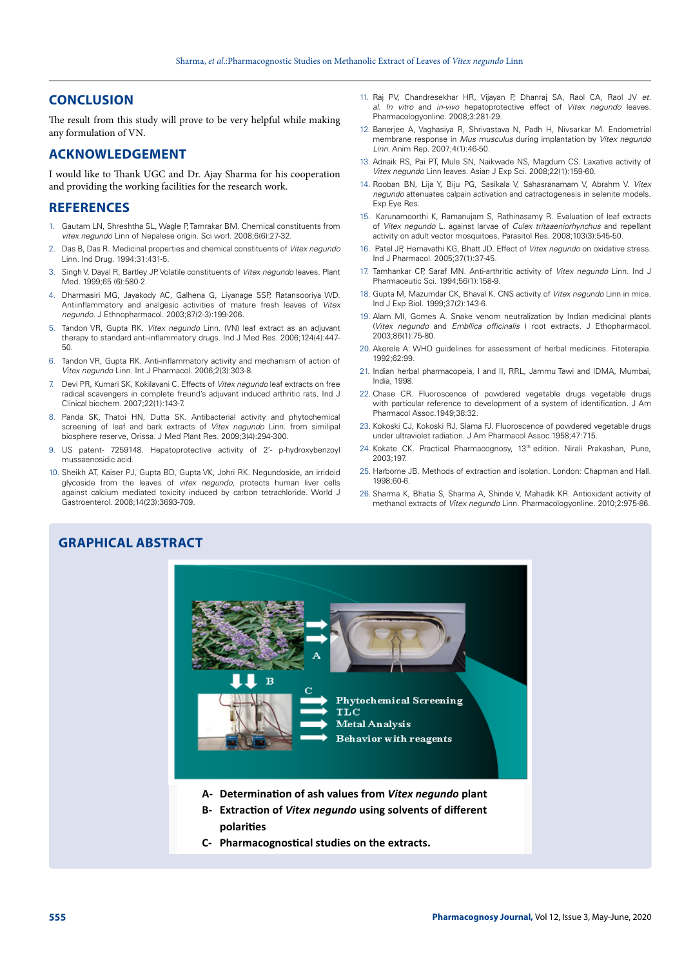## **CONCLUSION**

The result from this study will prove to be very helpful while making any formulation of VN.

## **ACKNOWLEDGEMENT**

I would like to Thank UGC and Dr. Ajay Sharma for his cooperation and providing the working facilities for the research work.

## **REFERENCES**

- 1. Gautam LN, Shreshtha SL, Wagle P, Tamrakar BM. Chemical constituents from *vitex negundo* Linn of Nepalese origin. Sci worl. 2008;6(6):27-32.
- 2. Das B, Das R. Medicinal properties and chemical constituents of *Vitex negundo* Linn. Ind Drug. 1994;31:431-5.
- 3. Singh V, Dayal R, Bartley JP. Volatile constituents of *Vitex negundo* leaves. Plant Med. 1999;65 (6):580-2.
- 4. Dharmasiri MG, Jayakody AC, Galhena G, Liyanage SSP, Ratansooriya WD. Antiinflammatory and analgesic activities of mature fresh leaves of *Vitex negundo*. J Ethnopharmacol. 2003;87(2-3):199-206.
- 5. Tandon VR, Gupta RK. *Vitex negundo* Linn. (VN) leaf extract as an adjuvant therapy to standard anti-inflammatory drugs. Ind J Med Res. 2006;124(4):447-  $50$
- 6. Tandon VR, Gupta RK. Anti-inflammatory activity and mechanism of action of *Vitex negundo* Linn. Int J Pharmacol. 2006;2(3):303-8.
- 7. Devi PR, Kumari SK, Kokilavani C. Effects of *Vitex negundo* leaf extracts on free radical scavengers in complete freund's adjuvant induced arthritic rats. Ind J Clinical biochem. 2007;22(1):143-7.
- 8. Panda SK, Thatoi HN, Dutta SK. Antibacterial activity and phytochemical screening of leaf and bark extracts of *Vitex negundo* Linn. from similipal biosphere reserve, Orissa. J Med Plant Res. 2009;3(4):294-300.
- 9. US patent- 7259148. Hepatoprotective activity of 2'- p-hydroxybenzoyl mussaenosidic acid.
- 10. Sheikh AT, Kaiser PJ, Gupta BD, Gupta VK, Johri RK. Negundoside, an irridoid glycoside from the leaves of *vitex negundo*, protects human liver cells against calcium mediated toxicity induced by carbon tetrachloride. World J Gastroenterol. 2008;14(23):3693-709.
- 11. Raj PV, Chandresekhar HR, Vijayan P, Dhanraj SA, Raol CA, Raol JV *et. al*. *In vitro* and *in-vivo* hepatoprotective effect of *Vitex negundo* leaves. Pharmacologyonline. 2008;3:281-29.
- 12. Banerjee A, Vaghasiya R, Shrivastava N, Padh H, Nivsarkar M. Endometrial membrane response in *Mus musculus* during implantation by *Vitex negundo Linn*. Anim Rep. 2007;4(1):46-50.
- 13. Adnaik RS, Pai PT, Mule SN, Naikwade NS, Magdum CS. Laxative activity of *Vitex negundo* Linn leaves. Asian J Exp Sci. 2008;22(1):159-60.
- 14. Rooban BN, Lija Y, Biju PG, Sasikala V, Sahasranamam V, Abrahm V. *Vitex negundo* attenuates calpain activation and catractogenesis in selenite models. Exp Eye Res.
- 15. Karunamoorthi K, Ramanujam S, Rathinasamy R. Evaluation of leaf extracts of *Vitex negundo* L. against larvae of *Culex tritaaeniorhynchus* and repellant activity on adult vector mosquitoes. Parasitol Res. 2008;103(3):545-50.
- 16. Patel JP, Hemavathi KG, Bhatt JD. Effect of *Vitex negundo* on oxidative stress. Ind J Pharmacol. 2005;37(1):37-45.
- 17. Tamhankar CP, Saraf MN. Anti-arthritic activity of *Vitex negundo* Linn. Ind J Pharmaceutic Sci. 1994;56(1):158-9.
- 18. Gupta M, Mazumdar CK, Bhaval K. CNS activity of *Vitex negundo* Linn in mice. Ind J Exp Biol. 1999;37(2):143-6.
- 19. Alam MI, Gomes A. Snake venom neutralization by Indian medicinal plants (*Vitex negundo* and *Embllica officinalis* ) root extracts*.* J Ethopharmacol. 2003;86(1):75-80.
- 20. Akerele A: WHO guidelines for assessment of herbal medicines. Fitoterapia. 1992;62:99.
- 21. Indian herbal pharmacopeia, I and II, RRL, Jammu Tawi and IDMA, Mumbai, India, 1998.
- 22. Chase CR. Fluoroscence of powdered vegetable drugs vegetable drugs with particular reference to development of a system of identification. J Am Pharmacol Assoc.1949;38:32.
- 23. Kokoski CJ, Kokoski RJ, Slama FJ. Fluoroscence of powdered vegetable drugs under ultraviolet radiation. J Am Pharmacol Assoc.1958;47:715.
- 24. Kokate CK. Practical Pharmacognosy, 13<sup>th</sup> edition. Nirali Prakashan, Pune, 2003;197.
- 25. Harborne JB. Methods of extraction and isolation. London: Chapman and Hall. 1998;60-6.
- 26. Sharma K, Bhatia S, Sharma A, Shinde V, Mahadik KR. Antioxidant activity of methanol extracts of *Vitex negundo* Linn. Pharmacologyonline. 2010;2:975-86.

# **GRAPHICAL ABSTRACT**



- 
- **C- Pharmacognos�cal studies on the extracts.**